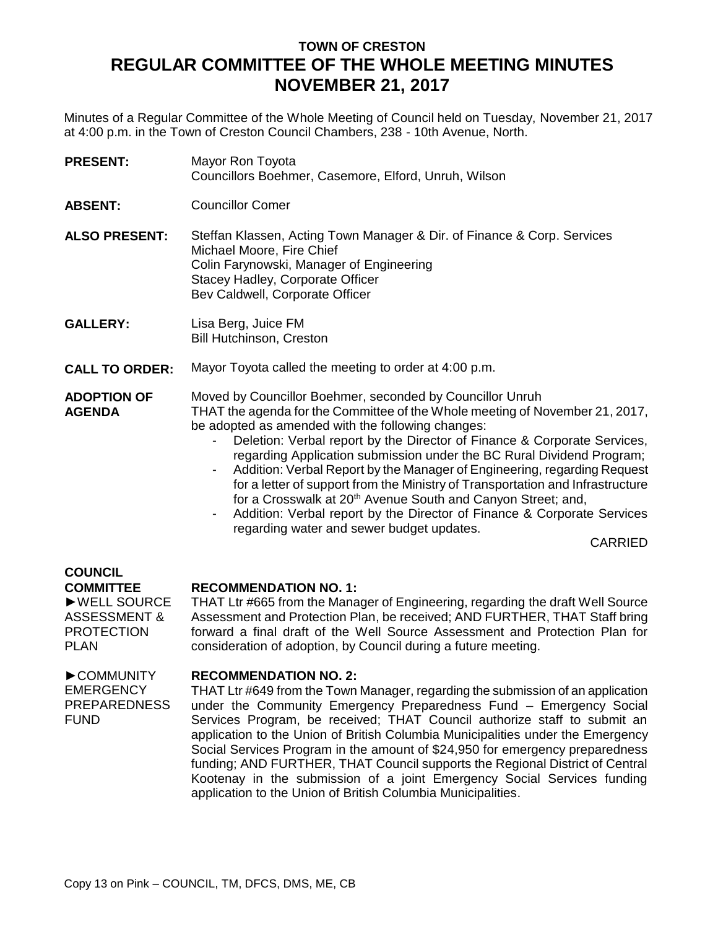# **TOWN OF CRESTON REGULAR COMMITTEE OF THE WHOLE MEETING MINUTES NOVEMBER 21, 2017**

Minutes of a Regular Committee of the Whole Meeting of Council held on Tuesday, November 21, 2017 at 4:00 p.m. in the Town of Creston Council Chambers, 238 - 10th Avenue, North.

**PRESENT:** Mayor Ron Toyota Councillors Boehmer, Casemore, Elford, Unruh, Wilson

**ABSENT:** Councillor Comer

**ALSO PRESENT:** Steffan Klassen, Acting Town Manager & Dir. of Finance & Corp. Services Michael Moore, Fire Chief Colin Farynowski, Manager of Engineering Stacey Hadley, Corporate Officer Bev Caldwell, Corporate Officer

**GALLERY:** Lisa Berg, Juice FM Bill Hutchinson, Creston

**CALL TO ORDER:** Mayor Toyota called the meeting to order at 4:00 p.m.

**ADOPTION OF AGENDA** Moved by Councillor Boehmer, seconded by Councillor Unruh THAT the agenda for the Committee of the Whole meeting of November 21, 2017, be adopted as amended with the following changes:

- Deletion: Verbal report by the Director of Finance & Corporate Services, regarding Application submission under the BC Rural Dividend Program;
- Addition: Verbal Report by the Manager of Engineering, regarding Request for a letter of support from the Ministry of Transportation and Infrastructure for a Crosswalk at 20<sup>th</sup> Avenue South and Canyon Street; and,
- Addition: Verbal report by the Director of Finance & Corporate Services regarding water and sewer budget updates.

CARRIED

#### **COUNCIL COMMITTEE**

►WELL SOURCE ASSESSMENT & PROTECTION PLAN

## **RECOMMENDATION NO. 1:**

THAT Ltr #665 from the Manager of Engineering, regarding the draft Well Source Assessment and Protection Plan, be received; AND FURTHER, THAT Staff bring forward a final draft of the Well Source Assessment and Protection Plan for consideration of adoption, by Council during a future meeting.

#### ►COMMUNITY EMERGENCY PREPAREDNESS FUND

### **RECOMMENDATION NO. 2:**

THAT Ltr #649 from the Town Manager, regarding the submission of an application under the Community Emergency Preparedness Fund – Emergency Social Services Program, be received; THAT Council authorize staff to submit an application to the Union of British Columbia Municipalities under the Emergency Social Services Program in the amount of \$24,950 for emergency preparedness funding; AND FURTHER, THAT Council supports the Regional District of Central Kootenay in the submission of a joint Emergency Social Services funding application to the Union of British Columbia Municipalities.